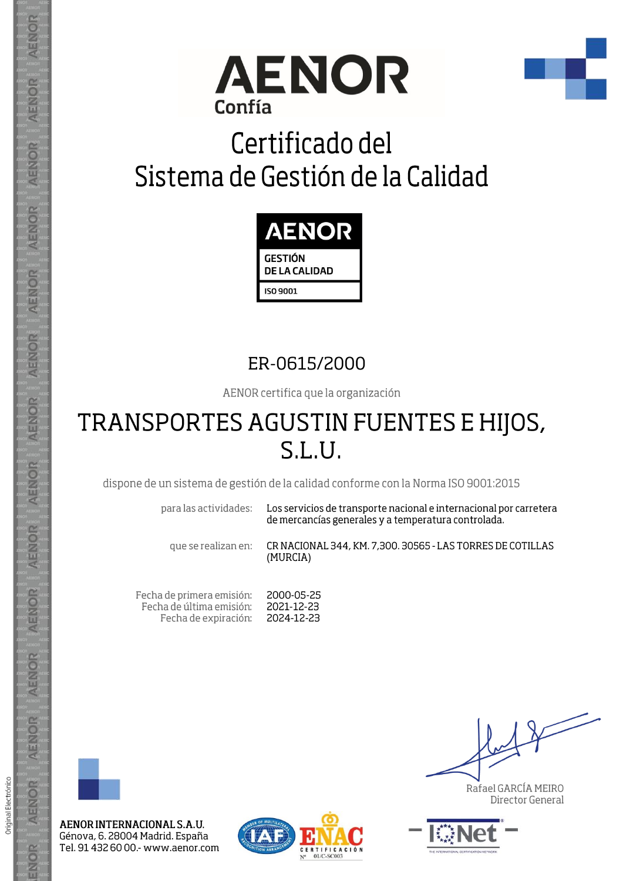



## Certificado del Sistema de Gestión de la Calidad



### ER-0615/2000

AENOR certifica que la organización

### TRANSPORTES AGUSTIN FUENTES E HIJOS, S.L.U.

dispone de un sistema de gestión de la calidad conforme con la Norma ISO 9001:2015

para las actividades:

Los servicios de transporte nacional e internacional por carretera de mercancías generales y a temperatura controlada.

que se realizan en:

CR NACIONAL 344, KM. 7,300. 30565 - LAS TORRES DE COTILLAS (MURCIA)

Fecha de primera emisión: 2000-05-25 Fecha de última emisión: 2021-12-23 Fecha de expiración: 2024-12-23



AENOR

ENOR

ENOR

**AENOR** 

AENOR

AENOR

**AENOR** 

AENOR

ENOR

AENOR

AENOR

AENOR

AENOR

ENOR

Original Electrónico

AENOR INTERNACIONAL S.A.U. Génova, 6. 28004 Madrid. España Tel. 91 432 60 00 - www.aenor.com



Rafael GARCÍA MEIRO Director General